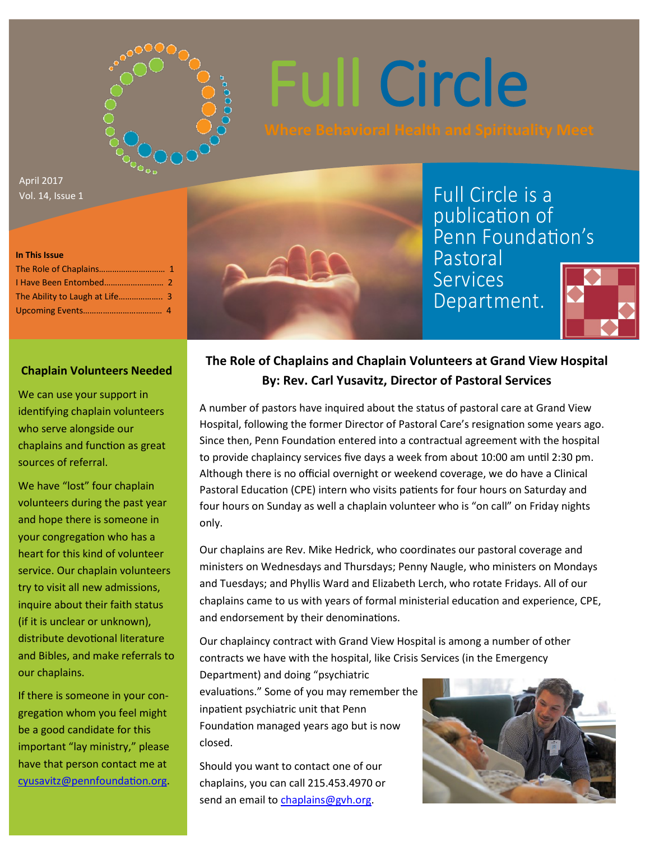

# Full Circle

April 2017 Vol. 14, Issue 1

#### **In This Issue**



Full Circle is a publication of Penn Foundation's Pastoral

Services Department.



#### **Chaplain Volunteers Needed**

We can use your support in identifying chaplain volunteers who serve alongside our chaplains and function as great sources of referral.

We have "lost" four chaplain volunteers during the past year and hope there is someone in your congregation who has a heart for this kind of volunteer service. Our chaplain volunteers try to visit all new admissions, inquire about their faith status (if it is unclear or unknown), distribute devotional literature and Bibles, and make referrals to our chaplains.

If there is someone in your congregation whom you feel might be a good candidate for this important "lay ministry," please have that person contact me at [cyusavitz@pennfoundation.org.](mailto:cyusavitz@pennfoundation.org)

### **The Role of Chaplains and Chaplain Volunteers at Grand View Hospital By: Rev. Carl Yusavitz, Director of Pastoral Services**

A number of pastors have inquired about the status of pastoral care at Grand View Hospital, following the former Director of Pastoral Care's resignation some years ago. Since then, Penn Foundation entered into a contractual agreement with the hospital to provide chaplaincy services five days a week from about 10:00 am until 2:30 pm. Although there is no official overnight or weekend coverage, we do have a Clinical Pastoral Education (CPE) intern who visits patients for four hours on Saturday and four hours on Sunday as well a chaplain volunteer who is "on call" on Friday nights only.

Our chaplains are Rev. Mike Hedrick, who coordinates our pastoral coverage and ministers on Wednesdays and Thursdays; Penny Naugle, who ministers on Mondays and Tuesdays; and Phyllis Ward and Elizabeth Lerch, who rotate Fridays. All of our chaplains came to us with years of formal ministerial education and experience, CPE, and endorsement by their denominations.

Our chaplaincy contract with Grand View Hospital is among a number of other contracts we have with the hospital, like Crisis Services (in the Emergency

Department) and doing "psychiatric evaluations." Some of you may remember the inpatient psychiatric unit that Penn Foundation managed years ago but is now closed.

Should you want to contact one of our chaplains, you can call 215.453.4970 or send an email to chaplains@gvh.org.

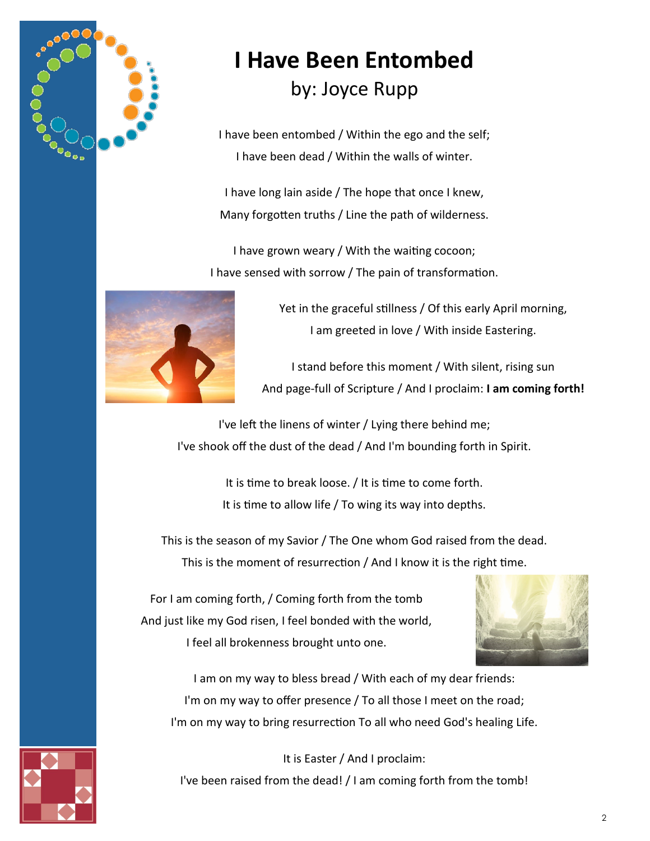

### **I Have Been Entombed**  by: Joyce Rupp

I have been entombed / Within the ego and the self; I have been dead / Within the walls of winter.

I have long lain aside / The hope that once I knew, Many forgotten truths / Line the path of wilderness.

I have grown weary / With the waiting cocoon; I have sensed with sorrow / The pain of transformation.



Yet in the graceful stillness / Of this early April morning, I am greeted in love / With inside Eastering.

I stand before this moment / With silent, rising sun And page-full of Scripture / And I proclaim: **I am coming forth!**

I've left the linens of winter / Lying there behind me; I've shook off the dust of the dead / And I'm bounding forth in Spirit.

> It is time to break loose. / It is time to come forth. It is time to allow life / To wing its way into depths.

This is the season of my Savior / The One whom God raised from the dead. This is the moment of resurrection / And I know it is the right time.

For I am coming forth, / Coming forth from the tomb And just like my God risen, I feel bonded with the world, I feel all brokenness brought unto one.



I am on my way to bless bread / With each of my dear friends: I'm on my way to offer presence / To all those I meet on the road; I'm on my way to bring resurrection To all who need God's healing Life.

It is Easter / And I proclaim: I've been raised from the dead! / I am coming forth from the tomb!

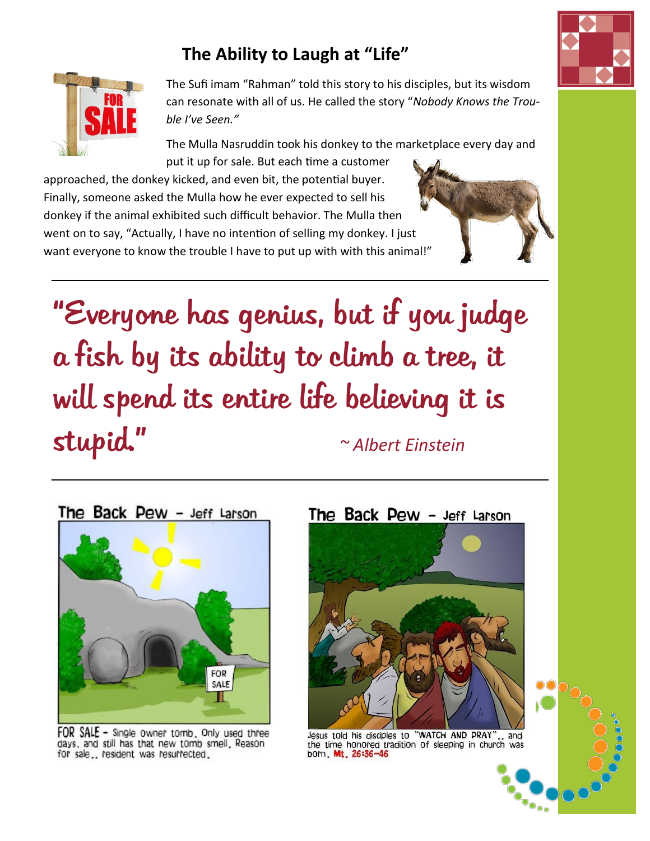### **The Ability to Laugh at "Life"**



The Sufi imam "Rahman" told this story to his disciples, but its wisdom can resonate with all of us. He called the story "*Nobody Knows the Trouble I've Seen."*

The Mulla Nasruddin took his donkey to the marketplace every day and put it up for sale. But each time a customer

approached, the donkey kicked, and even bit, the potential buyer. Finally, someone asked the Mulla how he ever expected to sell his donkey if the animal exhibited such difficult behavior. The Mulla then went on to say, "Actually, I have no intention of selling my donkey. I just want everyone to know the trouble I have to put up with with this animal!"

"Everyone has genius, but if you judge a fish by its ability to climb a tree, it will spend its entire life believing it is stupid." *~ Albert Einstein*



FOR SALE - Single owner tomb, Only used three days, and still has that new tomb smell. Reason for sale.. resident was resurrected.



The Back Pew - Jeff Larson